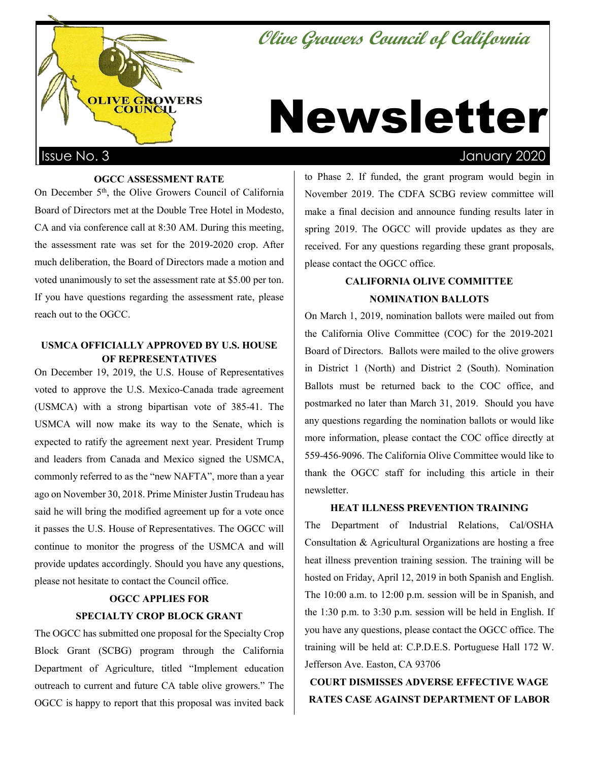# **Olive Growers Council of California**



# Newsletter

#### **OGCC ASSESSMENT RATE**

On December 5<sup>th</sup>, the Olive Growers Council of California Board of Directors met at the Double Tree Hotel in Modesto, CA and via conference call at 8:30 AM. During this meeting, the assessment rate was set for the 2019-2020 crop. After much deliberation, the Board of Directors made a motion and voted unanimously to set the assessment rate at \$5.00 per ton. If you have questions regarding the assessment rate, please reach out to the OGCC.

## **USMCA OFFICIALLY APPROVED BY U.S. HOUSE OF REPRESENTATIVES**

On December 19, 2019, the U.S. House of Representatives voted to approve the U.S. Mexico-Canada trade agreement (USMCA) with a strong bipartisan vote of 385-41. The USMCA will now make its way to the Senate, which is expected to ratify the agreement next year. President Trump and leaders from Canada and Mexico signed the USMCA, commonly referred to as the "new NAFTA", more than a year ago on November 30, 2018. Prime Minister Justin Trudeau has said he will bring the modified agreement up for a vote once it passes the U.S. House of Representatives. The OGCC will continue to monitor the progress of the USMCA and will provide updates accordingly. Should you have any questions, please not hesitate to contact the Council office.

# **OGCC APPLIES FOR SPECIALTY CROP BLOCK GRANT**

The OGCC has submitted one proposal for the Specialty Crop Block Grant (SCBG) program through the California Department of Agriculture, titled "Implement education outreach to current and future CA table olive growers." The OGCC is happy to report that this proposal was invited back

to Phase 2. If funded, the grant program would begin in November 2019. The CDFA SCBG review committee will make a final decision and announce funding results later in spring 2019. The OGCC will provide updates as they are received. For any questions regarding these grant proposals, please contact the OGCC office.

# **CALIFORNIA OLIVE COMMITTEE NOMINATION BALLOTS**

On March 1, 2019, nomination ballots were mailed out from the California Olive Committee (COC) for the 2019-2021 Board of Directors. Ballots were mailed to the olive growers in District 1 (North) and District 2 (South). Nomination Ballots must be returned back to the COC office, and postmarked no later than March 31, 2019. Should you have any questions regarding the nomination ballots or would like more information, please contact the COC office directly at 559-456-9096. The California Olive Committee would like to thank the OGCC staff for including this article in their newsletter.

### **HEAT ILLNESS PREVENTION TRAINING**

The Department of Industrial Relations, Cal/OSHA Consultation & Agricultural Organizations are hosting a free heat illness prevention training session. The training will be hosted on Friday, April 12, 2019 in both Spanish and English. The 10:00 a.m. to 12:00 p.m. session will be in Spanish, and the 1:30 p.m. to 3:30 p.m. session will be held in English. If you have any questions, please contact the OGCC office. The training will be held at: C.P.D.E.S. Portuguese Hall 172 W. Jefferson Ave. Easton, CA 93706

# **COURT DISMISSES ADVERSE EFFECTIVE WAGE RATES CASE AGAINST DEPARTMENT OF LABOR**